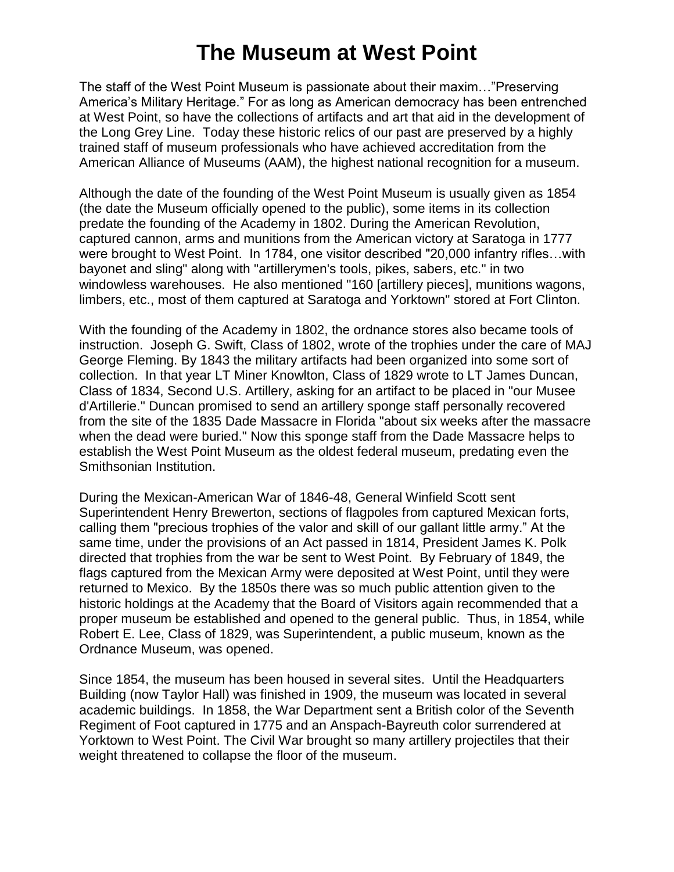## **The Museum at West Point**

The staff of the West Point Museum is passionate about their maxim…"Preserving America's Military Heritage." For as long as American democracy has been entrenched at West Point, so have the collections of artifacts and art that aid in the development of the Long Grey Line. Today these historic relics of our past are preserved by a highly trained staff of museum professionals who have achieved accreditation from the American Alliance of Museums (AAM), the highest national recognition for a museum.

Although the date of the founding of the West Point Museum is usually given as 1854 (the date the Museum officially opened to the public), some items in its collection predate the founding of the Academy in 1802. During the American Revolution, captured cannon, arms and munitions from the American victory at Saratoga in 1777 were brought to West Point. In 1784, one visitor described "20,000 infantry rifles…with bayonet and sling" along with "artillerymen's tools, pikes, sabers, etc." in two windowless warehouses. He also mentioned "160 [artillery pieces], munitions wagons, limbers, etc., most of them captured at Saratoga and Yorktown" stored at Fort Clinton.

With the founding of the Academy in 1802, the ordnance stores also became tools of instruction. Joseph G. Swift, Class of 1802, wrote of the trophies under the care of MAJ George Fleming. By 1843 the military artifacts had been organized into some sort of collection. In that year LT Miner Knowlton, Class of 1829 wrote to LT James Duncan, Class of 1834, Second U.S. Artillery, asking for an artifact to be placed in "our Musee d'Artillerie." Duncan promised to send an artillery sponge staff personally recovered from the site of the 1835 Dade Massacre in Florida "about six weeks after the massacre when the dead were buried." Now this sponge staff from the Dade Massacre helps to establish the West Point Museum as the oldest federal museum, predating even the Smithsonian Institution.

During the Mexican-American War of 1846-48, General Winfield Scott sent Superintendent Henry Brewerton, sections of flagpoles from captured Mexican forts, calling them "precious trophies of the valor and skill of our gallant little army." At the same time, under the provisions of an Act passed in 1814, President James K. Polk directed that trophies from the war be sent to West Point. By February of 1849, the flags captured from the Mexican Army were deposited at West Point, until they were returned to Mexico. By the 1850s there was so much public attention given to the historic holdings at the Academy that the Board of Visitors again recommended that a proper museum be established and opened to the general public. Thus, in 1854, while Robert E. Lee, Class of 1829, was Superintendent, a public museum, known as the Ordnance Museum, was opened.

Since 1854, the museum has been housed in several sites. Until the Headquarters Building (now Taylor Hall) was finished in 1909, the museum was located in several academic buildings. In 1858, the War Department sent a British color of the Seventh Regiment of Foot captured in 1775 and an Anspach-Bayreuth color surrendered at Yorktown to West Point. The Civil War brought so many artillery projectiles that their weight threatened to collapse the floor of the museum.